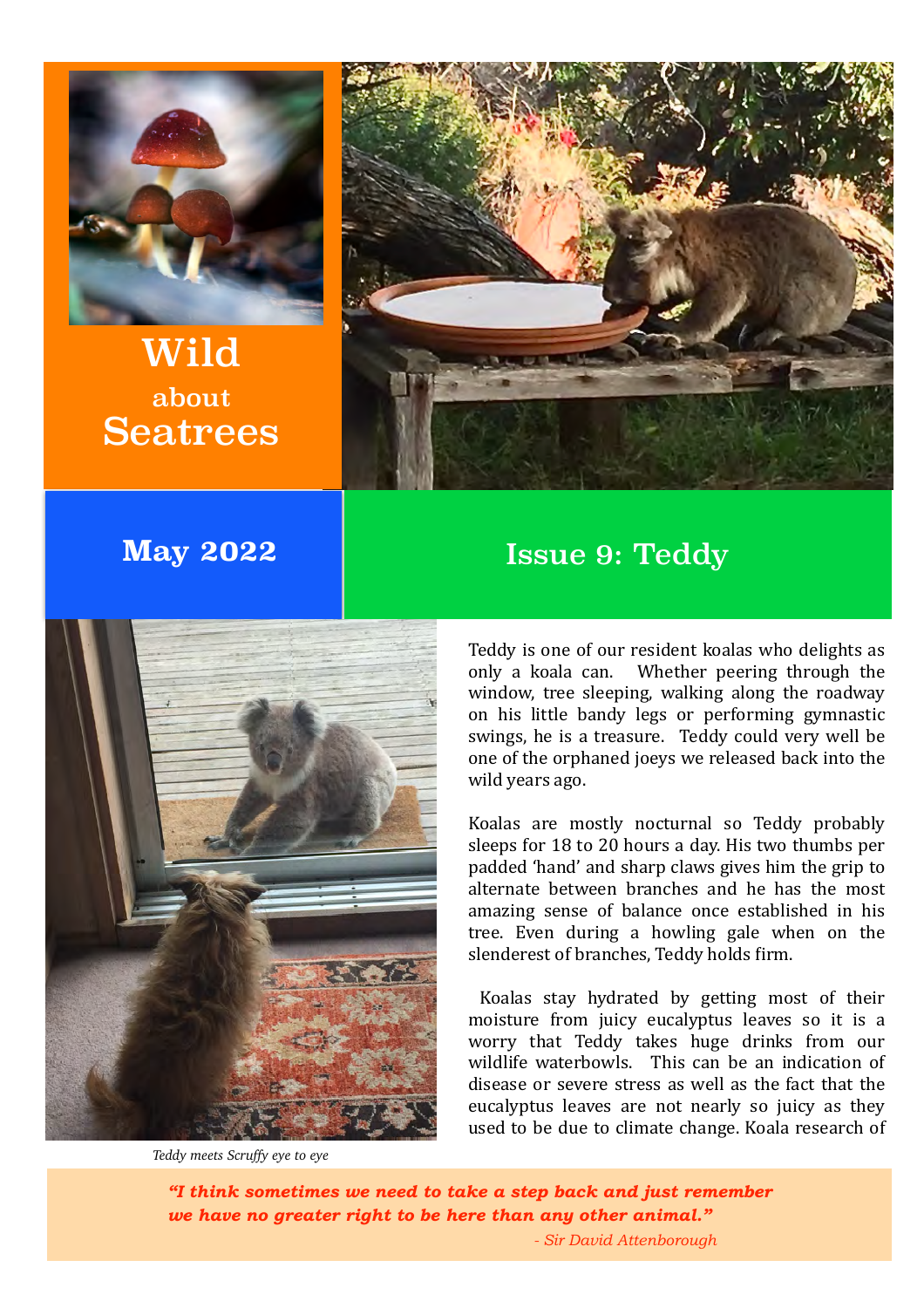

Wild about Seatrees



## **May 2022 Issue 9: Teddy**



*Teddy meets Scruffy eye to eye*

Teddy is one of our resident koalas who delights as only a koala can. Whether peering through the window, tree sleeping, walking along the roadway on his little bandy legs or performing gymnastic swings, he is a treasure. Teddy could very well be one of the orphaned joeys we released back into the wild years ago.

Koalas are mostly nocturnal so Teddy probably sleeps for 18 to 20 hours a day. His two thumbs per padded 'hand' and sharp claws gives him the grip to alternate between branches and he has the most amazing sense of balance once established in his tree. Even during a howling gale when on the slenderest of branches, Teddy holds firm.

Koalas stay hydrated by getting most of their moisture from juicy eucalyptus leaves so it is a worry that Teddy takes huge drinks from our wildlife waterbowls. This can be an indication of disease or severe stress as well as the fact that the eucalyptus leaves are not nearly so juicy as they used to be due to climate change. Koala research of

*"I think sometimes we need to take a step back and just remember we have no greater right to be here than any other animal."*

*- Sir David Attenborough*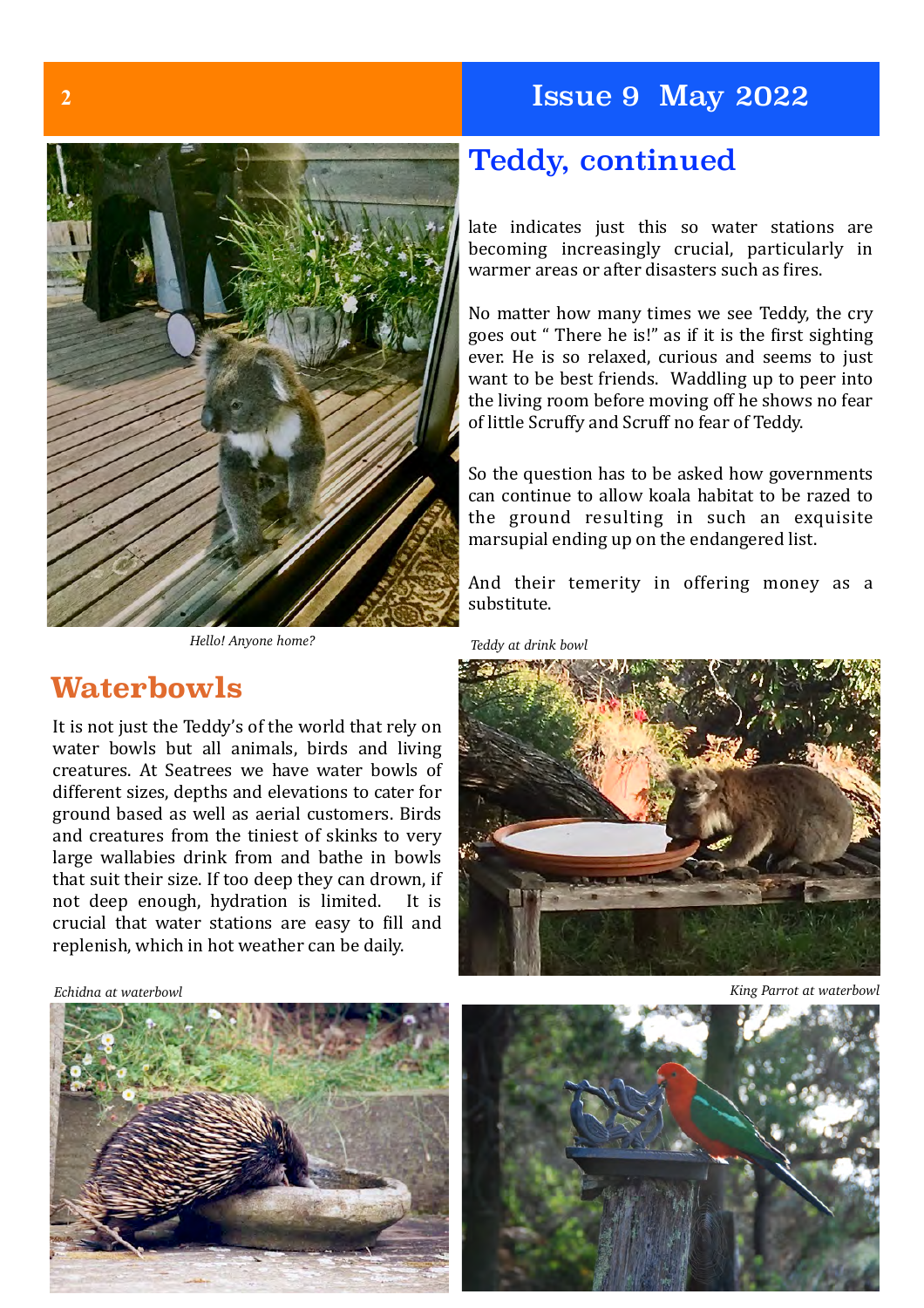### **2** Issue 9 May 2022



*Hello! Anyone home? Teddy at drink bowl*

### **Waterbowls**

It is not just the Teddy's of the world that rely on water bowls but all animals, birds and living creatures. At Seatrees we have water bowls of different sizes, depths and elevations to cater for ground based as well as aerial customers. Birds and creatures from the tiniest of skinks to very large wallabies drink from and bathe in bowls that suit their size. If too deep they can drown, if not deep enough, hydration is limited. It is crucial that water stations are easy to fill and replenish, which in hot weather can be daily.

*Echidna at waterbowl*



### Teddy, continued

late indicates just this so water stations are becoming increasingly crucial, particularly in warmer areas or after disasters such as fires.

No matter how many times we see Teddy, the cry goes out " There he is!" as if it is the first sighting ever. He is so relaxed, curious and seems to just want to be best friends. Waddling up to peer into the living room before moving off he shows no fear of little Scruffy and Scruff no fear of Teddy.

So the question has to be asked how governments can continue to allow koala habitat to be razed to the ground resulting in such an exquisite marsupial ending up on the endangered list.

And their temerity in offering money as a substitute.



*King Parrot at waterbowl*

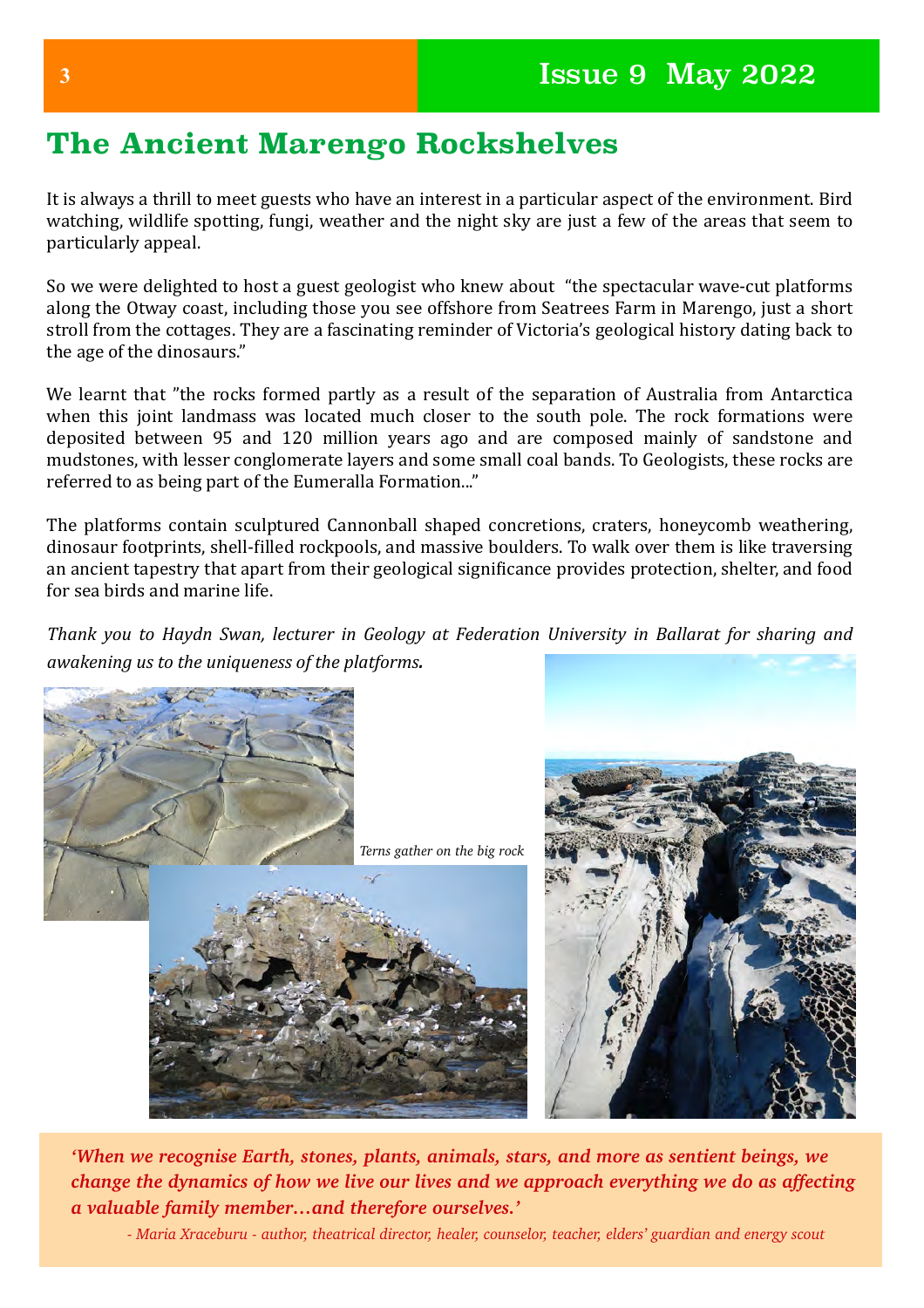# **The Ancient Marengo Rockshelves**

It is always a thrill to meet guests who have an interest in a particular aspect of the environment. Bird watching, wildlife spotting, fungi, weather and the night sky are just a few of the areas that seem to particularly appeal.

So we were delighted to host a guest geologist who knew about "the spectacular wave-cut platforms along the Otway coast, including those you see offshore from Seatrees Farm in Marengo, just a short stroll from the cottages. They are a fascinating reminder of Victoria's geological history dating back to the age of the dinosaurs."

We learnt that "the rocks formed partly as a result of the separation of Australia from Antarctica when this joint landmass was located much closer to the south pole. The rock formations were deposited between 95 and 120 million years ago and are composed mainly of sandstone and mudstones, with lesser conglomerate layers and some small coal bands. To Geologists, these rocks are referred to as being part of the Eumeralla Formation..."

The platforms contain sculptured Cannonball shaped concretions, craters, honeycomb weathering, dinosaur footprints, shell-filled rockpools, and massive boulders. To walk over them is like traversing an ancient tapestry that apart from their geological significance provides protection, shelter, and food for sea birds and marine life.

*Thank* you to Haydn Swan, lecturer in Geology at Federation University in Ballarat for sharing and *awakening us to the uniqueness of the platforms.* 

![](_page_2_Picture_7.jpeg)

*'When we recognise Earth, stones, plants, animals, stars, and more as sentient beings, we change the dynamics of how we live our lives and we approach everything we do as affecting a valuable family member…and therefore ourselves.'*

*- Maria Xraceburu - author, theatrical director, healer, counselor, teacher, elders' guardian and energy scout*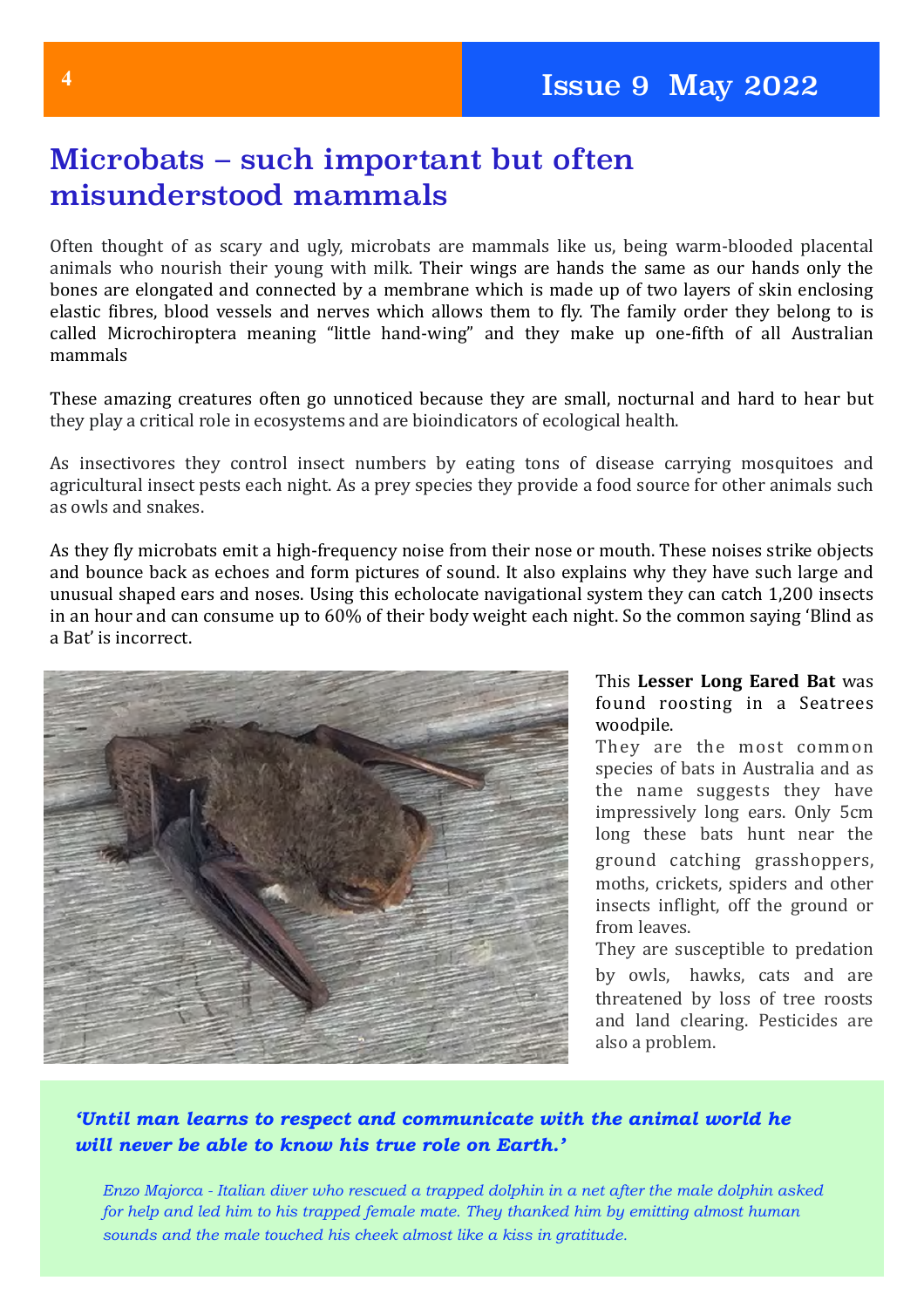# Microbats – such important but often misunderstood mammals

Often thought of as scary and ugly, microbats are mammals like us, being warm-blooded placental animals who nourish their young with milk. Their wings are hands the same as our hands only the bones are elongated and connected by a membrane which is made up of two layers of skin enclosing elastic fibres, blood vessels and nerves which allows them to fly. The family order they belong to is called Microchiroptera meaning "little hand-wing" and they make up one-fifth of all Australian mammals

These amazing creatures often go unnoticed because they are small, nocturnal and hard to hear but they play a critical role in ecosystems and are bioindicators of ecological health.

As insectivores they control insect numbers by eating tons of disease carrying mosquitoes and agricultural insect pests each night. As a prey species they provide a food source for other animals such as owls and snakes.

As they fly microbats emit a high-frequency noise from their nose or mouth. These noises strike objects and bounce back as echoes and form pictures of sound. It also explains why they have such large and unusual shaped ears and noses. Using this echolocate navigational system they can catch 1,200 insects in an hour and can consume up to 60% of their body weight each night. So the common saying 'Blind as a Bat' is incorrect.

![](_page_3_Picture_6.jpeg)

#### This Lesser Long Eared Bat was found roosting in a Seatrees woodpile.

They are the most common species of bats in Australia and as the name suggests they have impressively long ears. Only 5cm long these bats hunt near the ground catching grasshoppers, moths, crickets, spiders and other insects inflight, off the ground or from leaves.

They are susceptible to predation by owls, hawks, cats and are threatened by loss of tree roosts and land clearing. Pesticides are also a problem.

### *'Until man learns to respect and communicate with the animal world he will never be able to know his true role on Earth.'*

*Enzo Majorca - Italian diver who rescued a trapped dolphin in a net after the male dolphin asked for help and led him to his trapped female mate. They thanked him by emitting almost human sounds and the male touched his cheek almost like a kiss in gratitude.*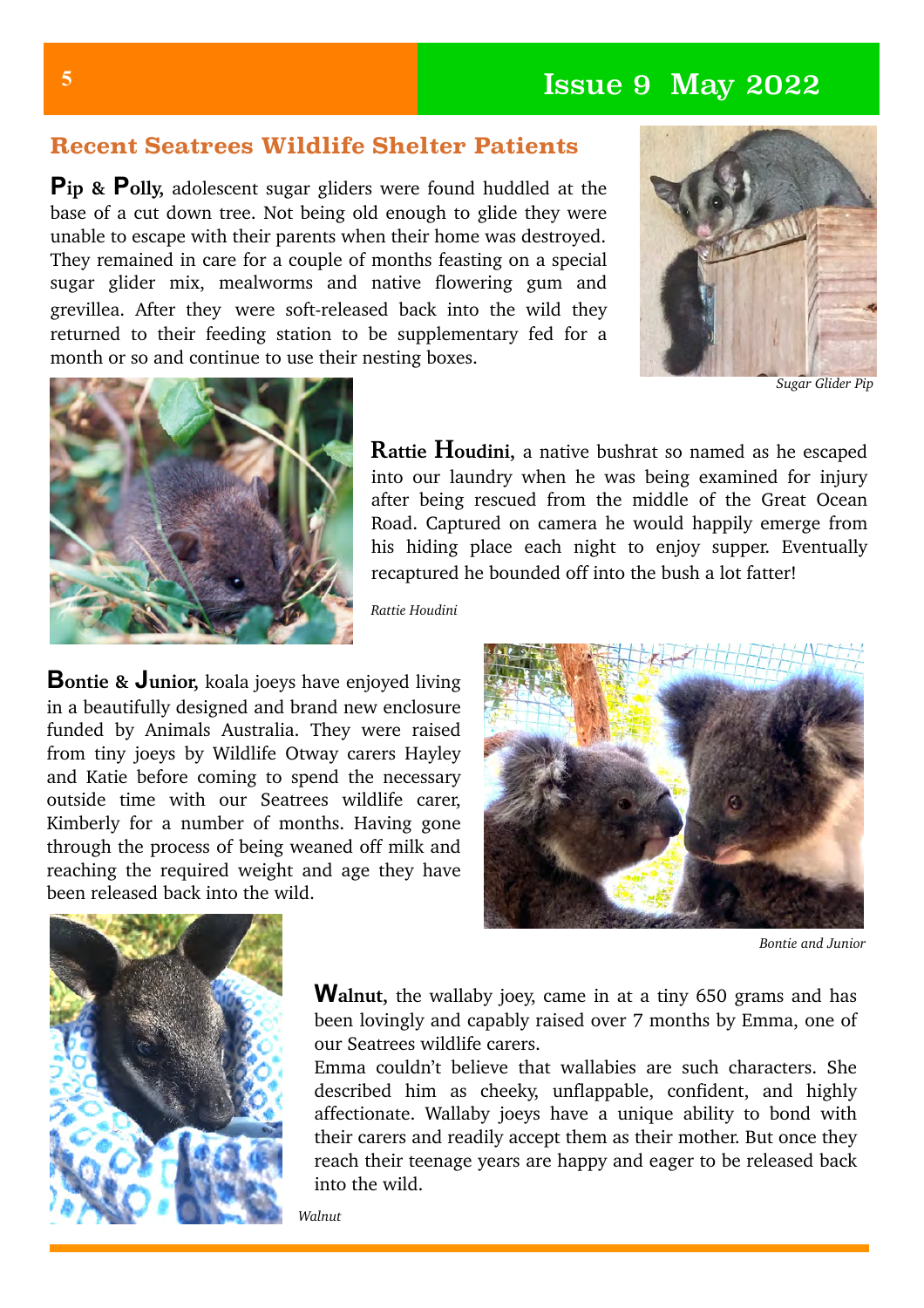# **<sup>5</sup>** Issue 9 May 2022

### **Recent Seatrees Wildlife Shelter Patients**

**Pip & Polly,** adolescent sugar gliders were found huddled at the base of a cut down tree. Not being old enough to glide they were unable to escape with their parents when their home was destroyed. They remained in care for a couple of months feasting on a special sugar glider mix, mealworms and native flowering gum and grevillea. After they were soft-released back into the wild they returned to their feeding station to be supplementary fed for a month or so and continue to use their nesting boxes.

![](_page_4_Picture_3.jpeg)

*Sugar Glider Pip*

![](_page_4_Picture_5.jpeg)

**Rattie Houdini,** a native bushrat so named as he escaped into our laundry when he was being examined for injury after being rescued from the middle of the Great Ocean Road. Captured on camera he would happily emerge from his hiding place each night to enjoy supper. Eventually recaptured he bounded off into the bush a lot fatter!

*Rattie Houdini*

**Bontie & Junior,** koala joeys have enjoyed living in a beautifully designed and brand new enclosure funded by Animals Australia. They were raised from tiny joeys by Wildlife Otway carers Hayley and Katie before coming to spend the necessary outside time with our Seatrees wildlife carer, Kimberly for a number of months. Having gone through the process of being weaned off milk and reaching the required weight and age they have been released back into the wild.

![](_page_4_Picture_9.jpeg)

*Bontie and Junior*

![](_page_4_Picture_11.jpeg)

**Walnut,** the wallaby joey, came in at a tiny 650 grams and has been lovingly and capably raised over 7 months by Emma, one of our Seatrees wildlife carers.

Emma couldn't believe that wallabies are such characters. She described him as cheeky, unflappable, confident, and highly affectionate. Wallaby joeys have a unique ability to bond with their carers and readily accept them as their mother. But once they reach their teenage years are happy and eager to be released back into the wild.

*Walnut*